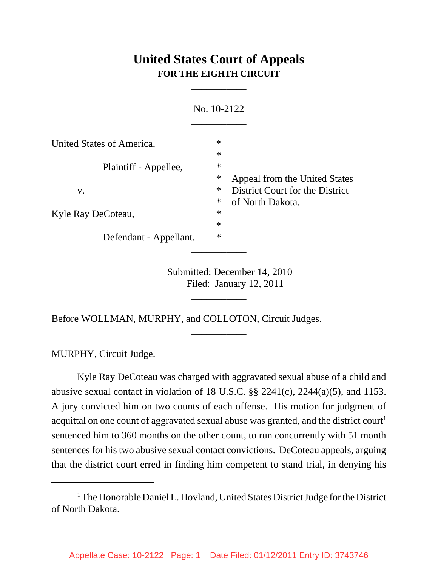## **United States Court of Appeals FOR THE EIGHTH CIRCUIT**

\_\_\_\_\_\_\_\_\_\_\_

| No. 10-2122               |                            |                                                                  |
|---------------------------|----------------------------|------------------------------------------------------------------|
| United States of America, | $\ast$                     |                                                                  |
| Plaintiff - Appellee,     | $\ast$<br>$\ast$           |                                                                  |
| V.                        | $\ast$<br>$\ast$           | Appeal from the United States<br>District Court for the District |
| Kyle Ray DeCoteau,        | $\ast$<br>$\ast$<br>$\ast$ | of North Dakota.                                                 |
| Defendant - Appellant.    | $\ast$                     |                                                                  |
|                           |                            |                                                                  |

Submitted: December 14, 2010 Filed: January 12, 2011

\_\_\_\_\_\_\_\_\_\_\_

\_\_\_\_\_\_\_\_\_\_\_

Before WOLLMAN, MURPHY, and COLLOTON, Circuit Judges.

MURPHY, Circuit Judge.

Kyle Ray DeCoteau was charged with aggravated sexual abuse of a child and abusive sexual contact in violation of 18 U.S.C.  $\S$  2241(c), 2244(a)(5), and 1153. A jury convicted him on two counts of each offense. His motion for judgment of acquittal on one count of aggravated sexual abuse was granted, and the district court<sup>1</sup> sentenced him to 360 months on the other count, to run concurrently with 51 month sentences for his two abusive sexual contact convictions. DeCoteau appeals, arguing that the district court erred in finding him competent to stand trial, in denying his

<sup>&</sup>lt;sup>1</sup> The Honorable Daniel L. Hovland, United States District Judge for the District of North Dakota.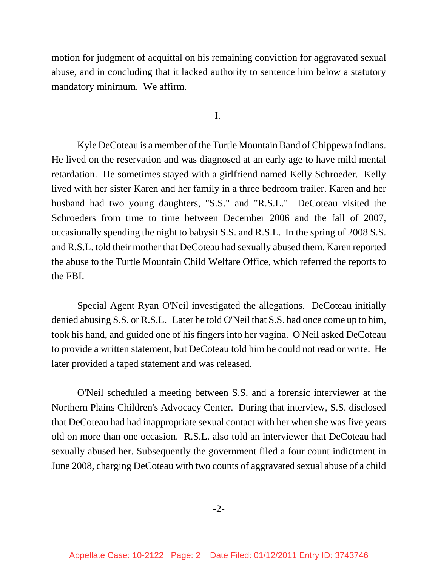motion for judgment of acquittal on his remaining conviction for aggravated sexual abuse, and in concluding that it lacked authority to sentence him below a statutory mandatory minimum. We affirm.

I.

Kyle DeCoteau is a member of the Turtle Mountain Band of Chippewa Indians. He lived on the reservation and was diagnosed at an early age to have mild mental retardation. He sometimes stayed with a girlfriend named Kelly Schroeder. Kelly lived with her sister Karen and her family in a three bedroom trailer. Karen and her husband had two young daughters, "S.S." and "R.S.L." DeCoteau visited the Schroeders from time to time between December 2006 and the fall of 2007, occasionally spending the night to babysit S.S. and R.S.L. In the spring of 2008 S.S. and R.S.L. told their mother that DeCoteau had sexually abused them. Karen reported the abuse to the Turtle Mountain Child Welfare Office, which referred the reports to the FBI.

Special Agent Ryan O'Neil investigated the allegations. DeCoteau initially denied abusing S.S. or R.S.L. Later he told O'Neil that S.S. had once come up to him, took his hand, and guided one of his fingers into her vagina. O'Neil asked DeCoteau to provide a written statement, but DeCoteau told him he could not read or write. He later provided a taped statement and was released.

O'Neil scheduled a meeting between S.S. and a forensic interviewer at the Northern Plains Children's Advocacy Center. During that interview, S.S. disclosed that DeCoteau had had inappropriate sexual contact with her when she was five years old on more than one occasion. R.S.L. also told an interviewer that DeCoteau had sexually abused her. Subsequently the government filed a four count indictment in June 2008, charging DeCoteau with two counts of aggravated sexual abuse of a child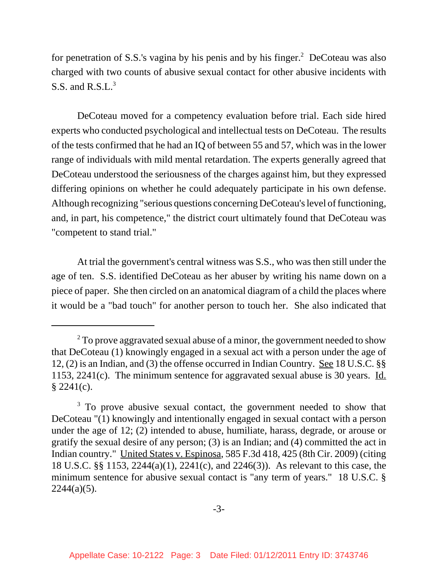for penetration of S.S.'s vagina by his penis and by his finger.<sup>2</sup> DeCoteau was also charged with two counts of abusive sexual contact for other abusive incidents with S.S. and  $R.S.L.<sup>3</sup>$ 

DeCoteau moved for a competency evaluation before trial. Each side hired experts who conducted psychological and intellectual tests on DeCoteau. The results of the tests confirmed that he had an IQ of between 55 and 57, which was in the lower range of individuals with mild mental retardation. The experts generally agreed that DeCoteau understood the seriousness of the charges against him, but they expressed differing opinions on whether he could adequately participate in his own defense. Although recognizing "serious questions concerning DeCoteau's level of functioning, and, in part, his competence," the district court ultimately found that DeCoteau was "competent to stand trial."

At trial the government's central witness was S.S., who was then still under the age of ten. S.S. identified DeCoteau as her abuser by writing his name down on a piece of paper. She then circled on an anatomical diagram of a child the places where it would be a "bad touch" for another person to touch her. She also indicated that

 $2^2$  To prove aggravated sexual abuse of a minor, the government needed to show that DeCoteau (1) knowingly engaged in a sexual act with a person under the age of 12, (2) is an Indian, and (3) the offense occurred in Indian Country. See 18 U.S.C. §§ 1153, 2241(c). The minimum sentence for aggravated sexual abuse is 30 years. Id. § 2241(c).

<sup>&</sup>lt;sup>3</sup> To prove abusive sexual contact, the government needed to show that DeCoteau "(1) knowingly and intentionally engaged in sexual contact with a person under the age of 12; (2) intended to abuse, humiliate, harass, degrade, or arouse or gratify the sexual desire of any person; (3) is an Indian; and (4) committed the act in Indian country." United States v. Espinosa, 585 F.3d 418, 425 (8th Cir. 2009) (citing 18 U.S.C. §§ 1153, 2244(a)(1), 2241(c), and 2246(3)). As relevant to this case, the minimum sentence for abusive sexual contact is "any term of years." 18 U.S.C. §  $2244(a)(5)$ .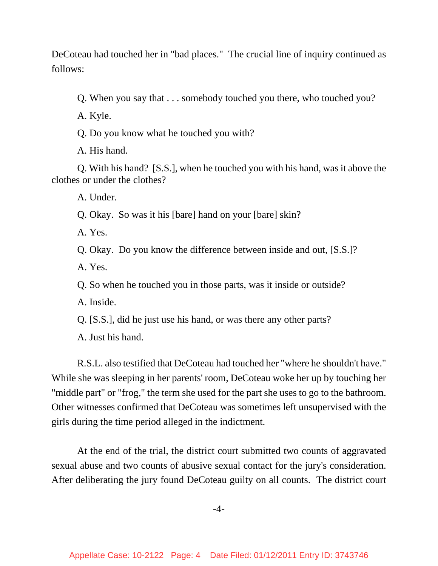DeCoteau had touched her in "bad places." The crucial line of inquiry continued as follows:

Q. When you say that . . . somebody touched you there, who touched you?

A. Kyle.

Q. Do you know what he touched you with?

A. His hand.

Q. With his hand? [S.S.], when he touched you with his hand, was it above the clothes or under the clothes?

A. Under.

Q. Okay. So was it his [bare] hand on your [bare] skin?

A. Yes.

Q. Okay. Do you know the difference between inside and out, [S.S.]?

A. Yes.

Q. So when he touched you in those parts, was it inside or outside?

A. Inside.

Q. [S.S.], did he just use his hand, or was there any other parts?

A. Just his hand.

R.S.L. also testified that DeCoteau had touched her "where he shouldn't have." While she was sleeping in her parents' room, DeCoteau woke her up by touching her "middle part" or "frog," the term she used for the part she uses to go to the bathroom. Other witnesses confirmed that DeCoteau was sometimes left unsupervised with the girls during the time period alleged in the indictment.

At the end of the trial, the district court submitted two counts of aggravated sexual abuse and two counts of abusive sexual contact for the jury's consideration. After deliberating the jury found DeCoteau guilty on all counts. The district court

-4-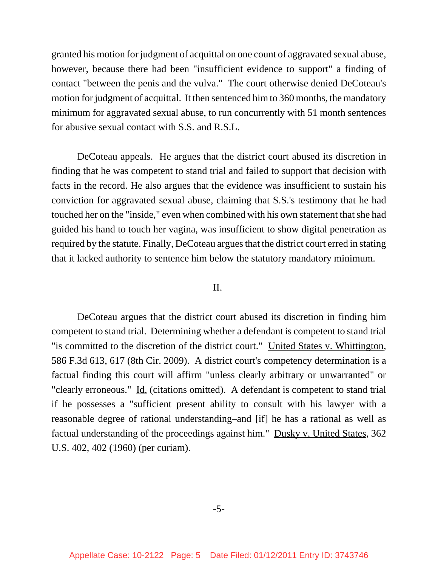granted his motion for judgment of acquittal on one count of aggravated sexual abuse, however, because there had been "insufficient evidence to support" a finding of contact "between the penis and the vulva." The court otherwise denied DeCoteau's motion for judgment of acquittal. It then sentenced him to 360 months, the mandatory minimum for aggravated sexual abuse, to run concurrently with 51 month sentences for abusive sexual contact with S.S. and R.S.L.

DeCoteau appeals. He argues that the district court abused its discretion in finding that he was competent to stand trial and failed to support that decision with facts in the record. He also argues that the evidence was insufficient to sustain his conviction for aggravated sexual abuse, claiming that S.S.'s testimony that he had touched her on the "inside," even when combined with his own statement that she had guided his hand to touch her vagina, was insufficient to show digital penetration as required by the statute. Finally, DeCoteau argues that the district court erred in stating that it lacked authority to sentence him below the statutory mandatory minimum.

## II.

DeCoteau argues that the district court abused its discretion in finding him competent to stand trial. Determining whether a defendant is competent to stand trial "is committed to the discretion of the district court." United States v. Whittington, 586 F.3d 613, 617 (8th Cir. 2009). A district court's competency determination is a factual finding this court will affirm "unless clearly arbitrary or unwarranted" or "clearly erroneous." Id. (citations omitted). A defendant is competent to stand trial if he possesses a "sufficient present ability to consult with his lawyer with a reasonable degree of rational understanding–and [if] he has a rational as well as factual understanding of the proceedings against him." Dusky v. United States, 362 U.S. 402, 402 (1960) (per curiam).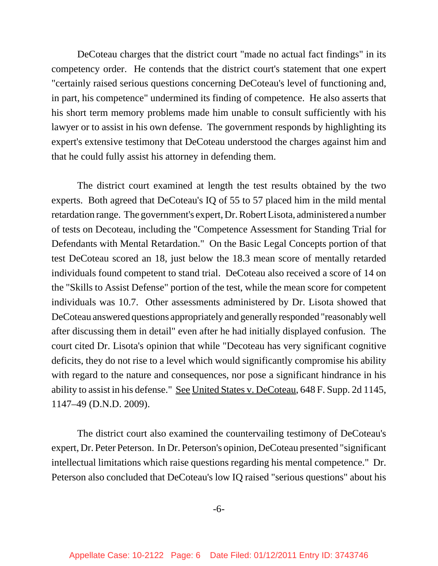DeCoteau charges that the district court "made no actual fact findings" in its competency order. He contends that the district court's statement that one expert "certainly raised serious questions concerning DeCoteau's level of functioning and, in part, his competence" undermined its finding of competence. He also asserts that his short term memory problems made him unable to consult sufficiently with his lawyer or to assist in his own defense. The government responds by highlighting its expert's extensive testimony that DeCoteau understood the charges against him and that he could fully assist his attorney in defending them.

The district court examined at length the test results obtained by the two experts. Both agreed that DeCoteau's IQ of 55 to 57 placed him in the mild mental retardation range. The government's expert, Dr. Robert Lisota, administered a number of tests on Decoteau, including the "Competence Assessment for Standing Trial for Defendants with Mental Retardation." On the Basic Legal Concepts portion of that test DeCoteau scored an 18, just below the 18.3 mean score of mentally retarded individuals found competent to stand trial. DeCoteau also received a score of 14 on the "Skills to Assist Defense" portion of the test, while the mean score for competent individuals was 10.7. Other assessments administered by Dr. Lisota showed that DeCoteau answered questions appropriately and generally responded "reasonably well after discussing them in detail" even after he had initially displayed confusion. The court cited Dr. Lisota's opinion that while "Decoteau has very significant cognitive deficits, they do not rise to a level which would significantly compromise his ability with regard to the nature and consequences, nor pose a significant hindrance in his ability to assist in his defense." See United States v. DeCoteau, 648 F. Supp. 2d 1145, 1147–49 (D.N.D. 2009).

The district court also examined the countervailing testimony of DeCoteau's expert, Dr. Peter Peterson. In Dr. Peterson's opinion, DeCoteau presented "significant intellectual limitations which raise questions regarding his mental competence." Dr. Peterson also concluded that DeCoteau's low IQ raised "serious questions" about his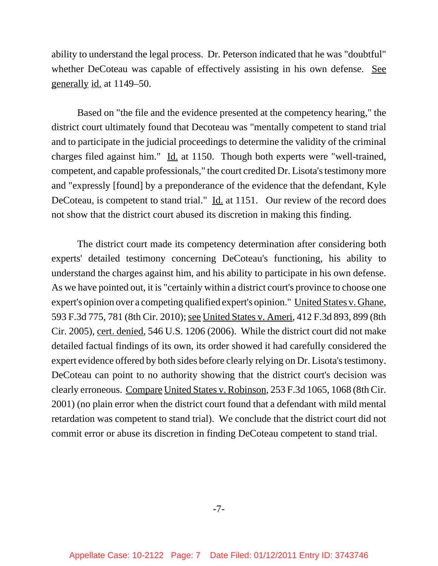ability to understand the legal process. Dr. Peterson indicated that he was "doubtful" whether DeCoteau was capable of effectively assisting in his own defense. See generally id. at 1149–50.

Based on "the file and the evidence presented at the competency hearing," the district court ultimately found that Decoteau was "mentally competent to stand trial and to participate in the judicial proceedings to determine the validity of the criminal charges filed against him." Id. at 1150. Though both experts were "well-trained, competent, and capable professionals," the court credited Dr. Lisota's testimony more and "expressly [found] by a preponderance of the evidence that the defendant, Kyle DeCoteau, is competent to stand trial." Id. at 1151. Our review of the record does not show that the district court abused its discretion in making this finding.

The district court made its competency determination after considering both experts' detailed testimony concerning DeCoteau's functioning, his ability to understand the charges against him, and his ability to participate in his own defense. As we have pointed out, it is "certainly within a district court's province to choose one expert's opinion over a competing qualified expert's opinion." United States v. Ghane, 593 F.3d 775, 781 (8th Cir. 2010); see United States v. Ameri, 412 F.3d 893, 899 (8th Cir. 2005), cert. denied, 546 U.S. 1206 (2006). While the district court did not make detailed factual findings of its own, its order showed it had carefully considered the expert evidence offered by both sides before clearly relying on Dr. Lisota's testimony. DeCoteau can point to no authority showing that the district court's decision was clearly erroneous. Compare United States v. Robinson, 253 F.3d 1065, 1068 (8th Cir. 2001) (no plain error when the district court found that a defendant with mild mental retardation was competent to stand trial). We conclude that the district court did not commit error or abuse its discretion in finding DeCoteau competent to stand trial.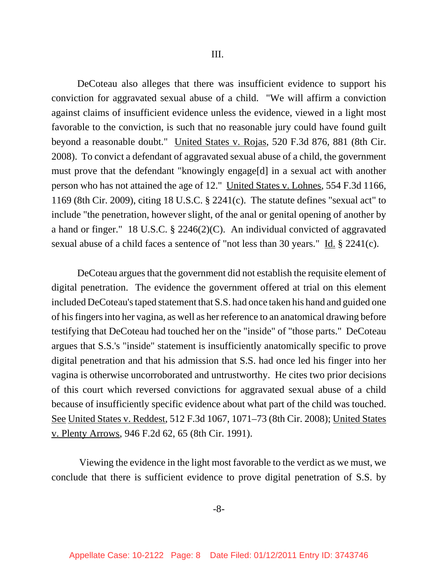DeCoteau also alleges that there was insufficient evidence to support his conviction for aggravated sexual abuse of a child. "We will affirm a conviction against claims of insufficient evidence unless the evidence, viewed in a light most favorable to the conviction, is such that no reasonable jury could have found guilt beyond a reasonable doubt." United States v. Rojas, 520 F.3d 876, 881 (8th Cir. 2008). To convict a defendant of aggravated sexual abuse of a child, the government must prove that the defendant "knowingly engage[d] in a sexual act with another person who has not attained the age of 12." United States v. Lohnes, 554 F.3d 1166, 1169 (8th Cir. 2009), citing 18 U.S.C. § 2241(c). The statute defines "sexual act" to include "the penetration, however slight, of the anal or genital opening of another by a hand or finger." 18 U.S.C. § 2246(2)(C). An individual convicted of aggravated sexual abuse of a child faces a sentence of "not less than 30 years." Id. § 2241(c).

DeCoteau argues that the government did not establish the requisite element of digital penetration. The evidence the government offered at trial on this element included DeCoteau's taped statement that S.S. had once taken his hand and guided one of his fingers into her vagina, as well as her reference to an anatomical drawing before testifying that DeCoteau had touched her on the "inside" of "those parts." DeCoteau argues that S.S.'s "inside" statement is insufficiently anatomically specific to prove digital penetration and that his admission that S.S. had once led his finger into her vagina is otherwise uncorroborated and untrustworthy. He cites two prior decisions of this court which reversed convictions for aggravated sexual abuse of a child because of insufficiently specific evidence about what part of the child was touched. See United States v. Reddest, 512 F.3d 1067, 1071–73 (8th Cir. 2008); United States v. Plenty Arrows, 946 F.2d 62, 65 (8th Cir. 1991).

 Viewing the evidence in the light most favorable to the verdict as we must, we conclude that there is sufficient evidence to prove digital penetration of S.S. by

-8-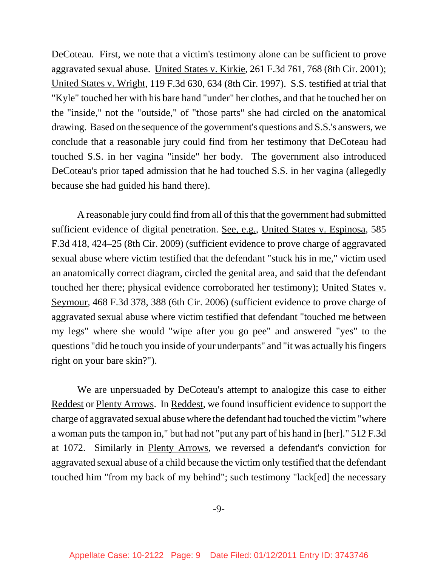DeCoteau. First, we note that a victim's testimony alone can be sufficient to prove aggravated sexual abuse. United States v. Kirkie, 261 F.3d 761, 768 (8th Cir. 2001); United States v. Wright, 119 F.3d 630, 634 (8th Cir. 1997). S.S. testified at trial that "Kyle" touched her with his bare hand "under" her clothes, and that he touched her on the "inside," not the "outside," of "those parts" she had circled on the anatomical drawing. Based on the sequence of the government's questions and S.S.'s answers, we conclude that a reasonable jury could find from her testimony that DeCoteau had touched S.S. in her vagina "inside" her body. The government also introduced DeCoteau's prior taped admission that he had touched S.S. in her vagina (allegedly because she had guided his hand there).

A reasonable jury could find from all of this that the government had submitted sufficient evidence of digital penetration. See, e.g., United States v. Espinosa, 585 F.3d 418, 424–25 (8th Cir. 2009) (sufficient evidence to prove charge of aggravated sexual abuse where victim testified that the defendant "stuck his in me," victim used an anatomically correct diagram, circled the genital area, and said that the defendant touched her there; physical evidence corroborated her testimony); United States v. Seymour, 468 F.3d 378, 388 (6th Cir. 2006) (sufficient evidence to prove charge of aggravated sexual abuse where victim testified that defendant "touched me between my legs" where she would "wipe after you go pee" and answered "yes" to the questions "did he touch you inside of your underpants" and "it was actually his fingers right on your bare skin?").

We are unpersuaded by DeCoteau's attempt to analogize this case to either Reddest or Plenty Arrows. In Reddest, we found insufficient evidence to support the charge of aggravated sexual abuse where the defendant had touched the victim "where a woman puts the tampon in," but had not "put any part of his hand in [her]." 512 F.3d at 1072. Similarly in Plenty Arrows, we reversed a defendant's conviction for aggravated sexual abuse of a child because the victim only testified that the defendant touched him "from my back of my behind"; such testimony "lack[ed] the necessary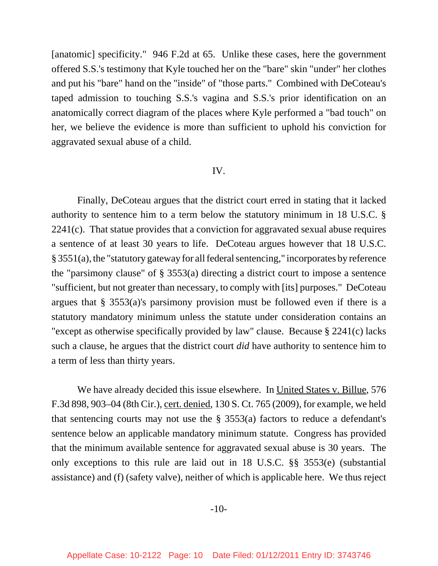[anatomic] specificity." 946 F.2d at 65. Unlike these cases, here the government offered S.S.'s testimony that Kyle touched her on the "bare" skin "under" her clothes and put his "bare" hand on the "inside" of "those parts." Combined with DeCoteau's taped admission to touching S.S.'s vagina and S.S.'s prior identification on an anatomically correct diagram of the places where Kyle performed a "bad touch" on her, we believe the evidence is more than sufficient to uphold his conviction for aggravated sexual abuse of a child.

## IV.

Finally, DeCoteau argues that the district court erred in stating that it lacked authority to sentence him to a term below the statutory minimum in 18 U.S.C. § 2241(c). That statue provides that a conviction for aggravated sexual abuse requires a sentence of at least 30 years to life. DeCoteau argues however that 18 U.S.C. § 3551(a), the "statutory gateway for all federal sentencing," incorporates by reference the "parsimony clause" of § 3553(a) directing a district court to impose a sentence "sufficient, but not greater than necessary, to comply with [its] purposes." DeCoteau argues that § 3553(a)'s parsimony provision must be followed even if there is a statutory mandatory minimum unless the statute under consideration contains an "except as otherwise specifically provided by law" clause. Because § 2241(c) lacks such a clause, he argues that the district court *did* have authority to sentence him to a term of less than thirty years.

We have already decided this issue elsewhere. In United States v. Billue, 576 F.3d 898, 903–04 (8th Cir.), cert. denied, 130 S. Ct. 765 (2009), for example, we held that sentencing courts may not use the  $\S$  3553(a) factors to reduce a defendant's sentence below an applicable mandatory minimum statute. Congress has provided that the minimum available sentence for aggravated sexual abuse is 30 years. The only exceptions to this rule are laid out in 18 U.S.C. §§ 3553(e) (substantial assistance) and (f) (safety valve), neither of which is applicable here. We thus reject